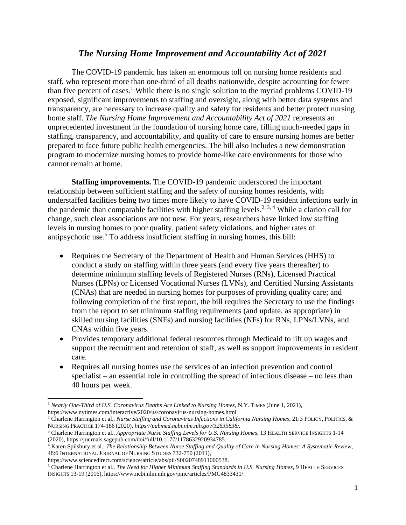## *The Nursing Home Improvement and Accountability Act of 2021*

The COVID-19 pandemic has taken an enormous toll on nursing home residents and staff, who represent more than one-third of all deaths nationwide, despite accounting for fewer than five percent of cases.<sup>1</sup> While there is no single solution to the myriad problems COVID-19 exposed, significant improvements to staffing and oversight, along with better data systems and transparency, are necessary to increase quality and safety for residents and better protect nursing home staff. *The Nursing Home Improvement and Accountability Act of 2021* represents an unprecedented investment in the foundation of nursing home care, filling much-needed gaps in staffing, transparency, and accountability, and quality of care to ensure nursing homes are better prepared to face future public health emergencies. The bill also includes a new demonstration program to modernize nursing homes to provide home-like care environments for those who cannot remain at home.

**Staffing improvements.** The COVID-19 pandemic underscored the important relationship between sufficient staffing and the safety of nursing homes residents, with understaffed facilities being two times more likely to have COVID-19 resident infections early in the pandemic than comparable facilities with higher staffing levels.<sup>2, 3, 4</sup> While a clarion call for change, such clear associations are not new. For years, researchers have linked low staffing levels in nursing homes to poor quality, patient safety violations, and higher rates of antipsychotic use.<sup>5</sup> To address insufficient staffing in nursing homes, this bill:

- Requires the Secretary of the Department of Health and Human Services (HHS) to conduct a study on staffing within three years (and every five years thereafter) to determine minimum staffing levels of Registered Nurses (RNs), Licensed Practical Nurses (LPNs) or Licensed Vocational Nurses (LVNs), and Certified Nursing Assistants (CNAs) that are needed in nursing homes for purposes of providing quality care; and following completion of the first report, the bill requires the Secretary to use the findings from the report to set minimum staffing requirements (and update, as appropriate) in skilled nursing facilities (SNFs) and nursing facilities (NFs) for RNs, LPNs/LVNs, and CNAs within five years.
- Provides temporary additional federal resources through Medicaid to lift up wages and support the recruitment and retention of staff, as well as support improvements in resident care.
- Requires all nursing homes use the services of an infection prevention and control specialist – an essential role in controlling the spread of infectious disease – no less than 40 hours per week.

 $\overline{a}$ <sup>1</sup> *Nearly One-Third of U.S. Coronavirus Deaths Are Linked to Nursing Homes*, N.Y. TIMES (June 1, 2021), https://www.nytimes.com/interactive/2020/us/coronavirus-nursing-homes.html

<sup>&</sup>lt;sup>2</sup> Charlene Harrington et al., *Nurse Staffing and Coronavirus Infections in California Nursing Homes*, 21:3 POLICY, POLITICS, & NURSING PRACTICE 174-186 (2020), *https://pubmed.ncbi.nlm.nih.gov/32635838/.*

<sup>&</sup>lt;sup>3</sup> Charlene Harrington et al., *Appropriate Nurse Staffing Levels for U.S. Nursing Homes*, 13 HEALTH SERVICE INSIGHTS 1-14 (2020), https://journals.sagepub.com/doi/full/10.1177/1178632920934785.

<sup>4</sup> Karen Spilsbury et al., *The Relationship Between Nurse Staffing and Quality of Care in Nursing Homes: A Systematic Review*, 48:6 INTERNATIONAL JOURNAL OF NURSING STUDIES 732-750 (2011),

https://www.sciencedirect.com/science/article/abs/pii/S0020748911000538.

<sup>5</sup> Charlene Harrington et al., *The Need for Higher Minimum Staffing Standards in U.S. Nursing Homes*, 9 HEALTH SERVICES INSIGHTS 13-19 (2016), https://www.ncbi.nlm.nih.gov/pmc/articles/PMC4833431/.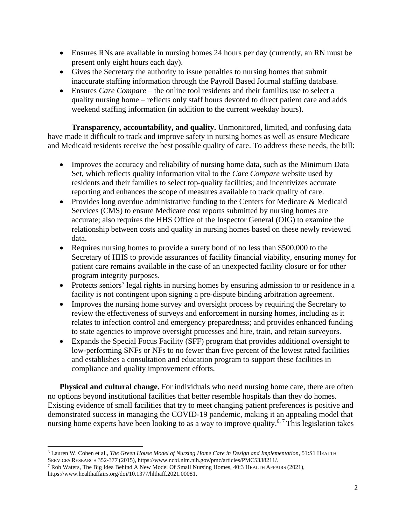- Ensures RNs are available in nursing homes 24 hours per day (currently, an RN must be present only eight hours each day).
- Gives the Secretary the authority to issue penalties to nursing homes that submit inaccurate staffing information through the Payroll Based Journal staffing database.
- Ensures *Care Compare*  the online tool residents and their families use to select a quality nursing home – reflects only staff hours devoted to direct patient care and adds weekend staffing information (in addition to the current weekday hours).

**Transparency, accountability, and quality.** Unmonitored, limited, and confusing data have made it difficult to track and improve safety in nursing homes as well as ensure Medicare and Medicaid residents receive the best possible quality of care. To address these needs, the bill:

- Improves the accuracy and reliability of nursing home data, such as the Minimum Data Set, which reflects quality information vital to the *Care Compare* website used by residents and their families to select top-quality facilities; and incentivizes accurate reporting and enhances the scope of measures available to track quality of care.
- Provides long overdue administrative funding to the Centers for Medicare & Medicaid Services (CMS) to ensure Medicare cost reports submitted by nursing homes are accurate; also requires the HHS Office of the Inspector General (OIG) to examine the relationship between costs and quality in nursing homes based on these newly reviewed data.
- Requires nursing homes to provide a surety bond of no less than \$500,000 to the Secretary of HHS to provide assurances of facility financial viability, ensuring money for patient care remains available in the case of an unexpected facility closure or for other program integrity purposes.
- Protects seniors' legal rights in nursing homes by ensuring admission to or residence in a facility is not contingent upon signing a pre-dispute binding arbitration agreement.
- Improves the nursing home survey and oversight process by requiring the Secretary to review the effectiveness of surveys and enforcement in nursing homes, including as it relates to infection control and emergency preparedness; and provides enhanced funding to state agencies to improve oversight processes and hire, train, and retain surveyors.
- Expands the Special Focus Facility (SFF) program that provides additional oversight to low-performing SNFs or NFs to no fewer than five percent of the lowest rated facilities and establishes a consultation and education program to support these facilities in compliance and quality improvement efforts.

**Physical and cultural change.** For individuals who need nursing home care, there are often no options beyond institutional facilities that better resemble hospitals than they do homes. Existing evidence of small facilities that try to meet changing patient preferences is positive and demonstrated success in managing the COVID-19 pandemic, making it an appealing model that nursing home experts have been looking to as a way to improve quality.<sup>6,7</sup> This legislation takes

 $\overline{a}$ <sup>6</sup> Lauren W. Cohen et al., *The Green House Model of Nursing Home Care in Design and Implementation*, 51:S1 HEALTH SERVICES RESEARCH 352-377 (2015), https://www.ncbi.nlm.nih.gov/pmc/articles/PMC5338211/.

<sup>7</sup> Rob Waters, The Big Idea Behind A New Model Of Small Nursing Homes, 40:3 HEALTH AFFAIRS (2021), https://www.healthaffairs.org/doi/10.1377/hlthaff.2021.00081.